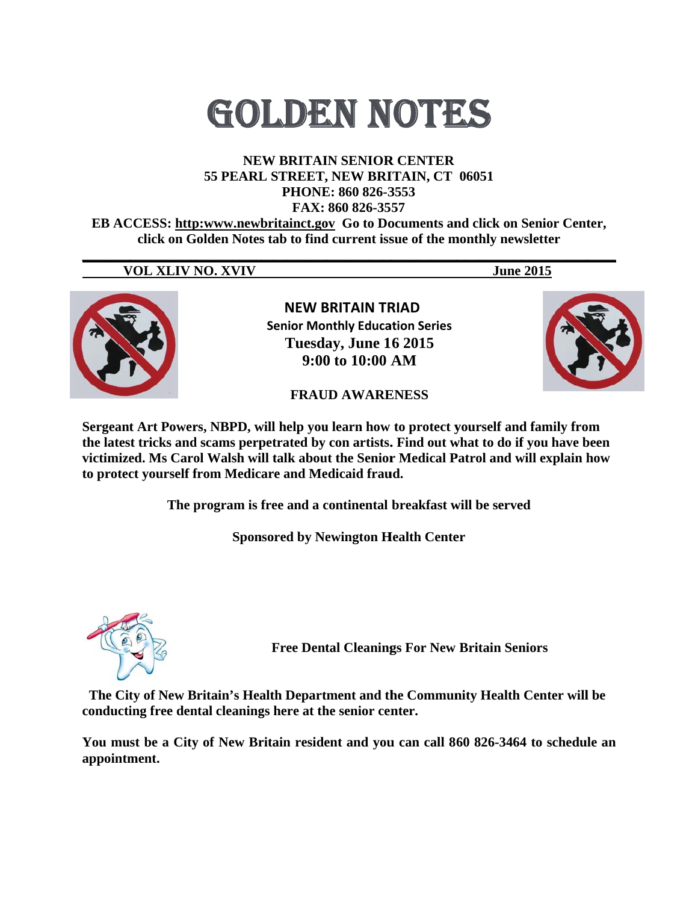# **GOLDEN NOTES**

### **NEW BRITAIN SENIOR CENTER** 55 PEARL STREET, NEW BRITAIN, CT 06051 PHONE: 860 826-3553 FAX: 860 826-3557

**EB ACCESS: http:www.newbritainct.gov Go to Documents and click on Senior Center,** click on Golden Notes tab to find current issue of the monthly newsletter

## **VOL XLIV NO. XVIV**

**June 2015** 



**NEW BRITAIN TRIAD Senior Monthly Education Series** Tuesday, June 16 2015  $9:00$  to  $10:00$  AM



**FRAUD AWARENESS** 

Sergeant Art Powers, NBPD, will help you learn how to protect yourself and family from the latest tricks and scams perpetrated by con artists. Find out what to do if you have been victimized. Ms Carol Walsh will talk about the Senior Medical Patrol and will explain how to protect yourself from Medicare and Medicaid fraud.

The program is free and a continental breakfast will be served

**Sponsored by Newington Health Center** 



**Free Dental Cleanings For New Britain Seniors** 

The City of New Britain's Health Department and the Community Health Center will be conducting free dental cleanings here at the senior center.

You must be a City of New Britain resident and you can call 860 826-3464 to schedule an appointment.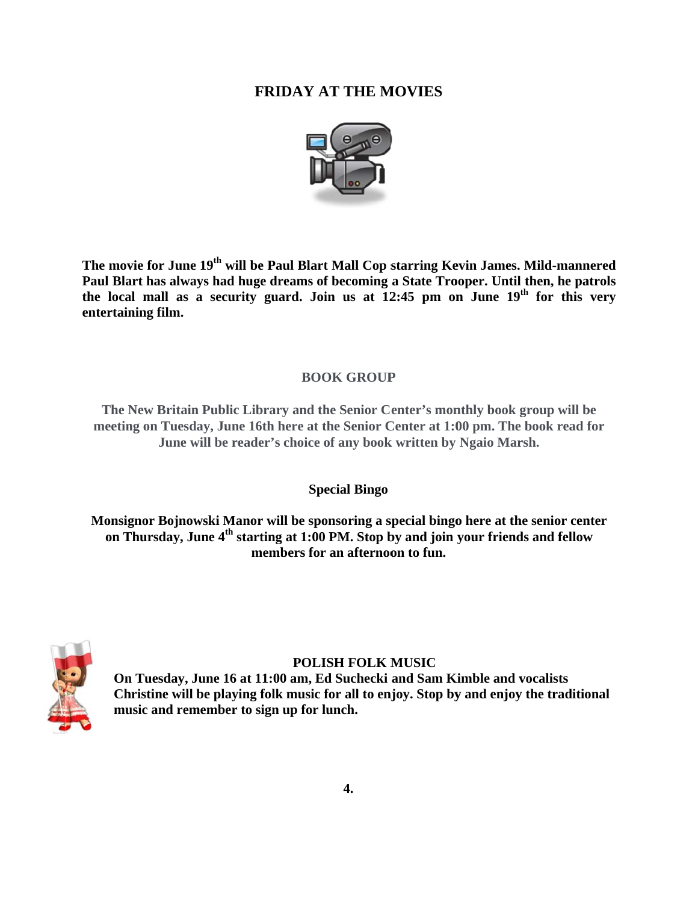# **F FRIDAY A AT THE M MOVIES**



 $\bf{T}$ he movie for June 19 $^{\rm th}$  will be Paul Blart Mall Cop starring Kevin James. Mild-mannered Paul Blart has always had huge dreams of becoming a State Trooper. Until then, he patrols the local mall as a security guard. Join us at  $12:45$  pm on June  $19<sup>th</sup>$  for this very **entertain ning film.** 

## **BOOK GROUP**

**The New Britain Public Library and the Senior Center's monthly book group will be meeting on Tuesday, June 16th here at the Senior Center at 1:00 pm. The book read for** June will be reader's choice of any book written by Ngaio Marsh.

## **Spe ecial Bingo**

**Monsignor Bojnowski Manor will be sponsoring a special bingo here at the senior center on Thursday, June 4<sup>th</sup> starting at 1:00 PM. Stop by and join your friends and fellow** members for an afternoon to fun.



## **POLISH FOLK MUSIC**

On Tuesday, June 16 at 11:00 am, Ed Suchecki and Sam Kimble and vocalists **Ch hristine will be playing f folk music f for all to enj njoy. Stop by y and enjoy y the traditio** music and remember to sign up for lunch. **w**<br>ional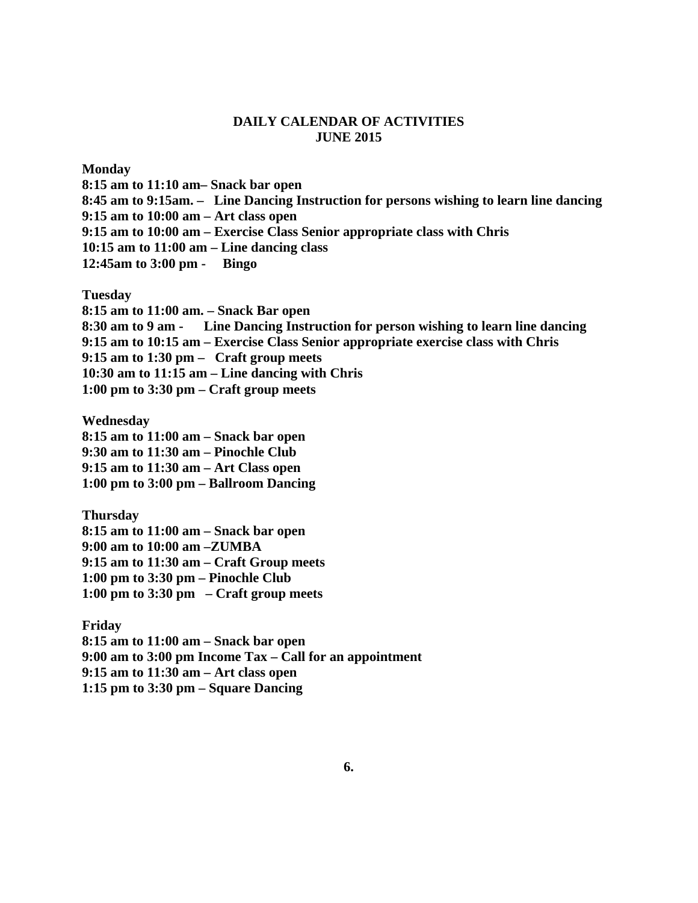#### **DAILY CALENDAR OF ACTIVITIES JUNE 2015**

**Monday** 

**8:15 am to 11:10 am– Snack bar open 8:45 am to 9:15am. – Line Dancing Instruction for persons wishing to learn line dancing 9:15 am to 10:00 am – Art class open 9:15 am to 10:00 am – Exercise Class Senior appropriate class with Chris 10:15 am to 11:00 am – Line dancing class 12:45am to 3:00 pm - Bingo** 

**Tuesday** 

**8:15 am to 11:00 am. – Snack Bar open 8:30 am to 9 am - Line Dancing Instruction for person wishing to learn line dancing 9:15 am to 10:15 am – Exercise Class Senior appropriate exercise class with Chris 9:15 am to 1:30 pm – Craft group meets 10:30 am to 11:15 am – Line dancing with Chris 1:00 pm to 3:30 pm – Craft group meets** 

**Wednesday** 

**8:15 am to 11:00 am – Snack bar open 9:30 am to 11:30 am – Pinochle Club 9:15 am to 11:30 am – Art Class open 1:00 pm to 3:00 pm – Ballroom Dancing** 

**Thursday 8:15 am to 11:00 am – Snack bar open 9:00 am to 10:00 am –ZUMBA 9:15 am to 11:30 am – Craft Group meets 1:00 pm to 3:30 pm – Pinochle Club 1:00 pm to 3:30 pm – Craft group meets** 

**Friday 8:15 am to 11:00 am – Snack bar open 9:00 am to 3:00 pm Income Tax – Call for an appointment 9:15 am to 11:30 am – Art class open 1:15 pm to 3:30 pm – Square Dancing**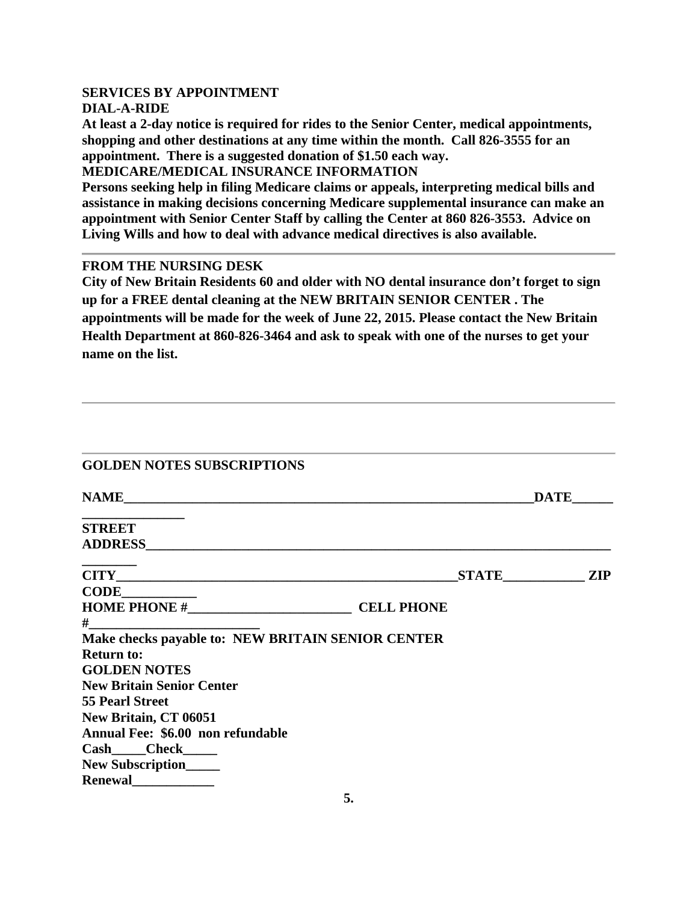#### **SERVICES BY APPOINTMENT DIAL-A-RIDE**

**At least a 2-day notice is required for rides to the Senior Center, medical appointments, shopping and other destinations at any time within the month. Call 826-3555 for an appointment. There is a suggested donation of \$1.50 each way.** 

**MEDICARE/MEDICAL INSURANCE INFORMATION** 

**Persons seeking help in filing Medicare claims or appeals, interpreting medical bills and assistance in making decisions concerning Medicare supplemental insurance can make an appointment with Senior Center Staff by calling the Center at 860 826-3553. Advice on Living Wills and how to deal with advance medical directives is also available.** 

#### **FROM THE NURSING DESK**

**City of New Britain Residents 60 and older with NO dental insurance don't forget to sign up for a FREE dental cleaning at the NEW BRITAIN SENIOR CENTER . The appointments will be made for the week of June 22, 2015. Please contact the New Britain Health Department at 860-826-3464 and ask to speak with one of the nurses to get your name on the list.** 

|  | <b>GOLDEN NOTES SUBSCRIPTIONS</b> |  |
|--|-----------------------------------|--|
|  |                                   |  |

| <b>NAME</b>                                       |                   | <b>DATE</b> |
|---------------------------------------------------|-------------------|-------------|
| <b>STREET</b>                                     |                   |             |
| ADDRESS ADDRESS                                   |                   |             |
|                                                   | <b>STATE</b>      | <b>ZIP</b>  |
| <b>CODE</b>                                       |                   |             |
|                                                   | <b>CELL PHONE</b> |             |
| $#$ and $#$                                       |                   |             |
| Make checks payable to: NEW BRITAIN SENIOR CENTER |                   |             |
| <b>Return to:</b>                                 |                   |             |
| <b>GOLDEN NOTES</b>                               |                   |             |
| <b>New Britain Senior Center</b>                  |                   |             |
| <b>55 Pearl Street</b>                            |                   |             |
| New Britain, CT 06051                             |                   |             |
| Annual Fee: \$6.00 non refundable                 |                   |             |
| Cash____Check_____                                |                   |             |
| New Subscription_____                             |                   |             |
| Renewal                                           |                   |             |
|                                                   | ς                 |             |